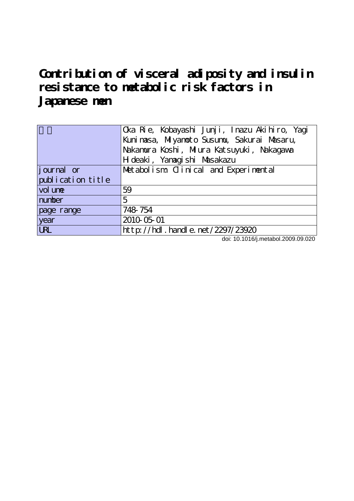**Contribution of visceral adiposity and insulin resistance to metabolic risk factors in Japanese men**

|                     | Cka Rie, Kobayashi Junji, Inazu Akihiro, Yagi |  |  |  |  |  |
|---------------------|-----------------------------------------------|--|--|--|--|--|
|                     | Kuni nasa, Miyanoto Susunu, Sakurai Masaru,   |  |  |  |  |  |
|                     | Nakamura Koshi, Miura Katsuyuki, Nakagawa     |  |  |  |  |  |
|                     | H deaki, Yanagishi Masakazu                   |  |  |  |  |  |
| <i>j</i> ournal or  | Met abolism Clinical and Experimental         |  |  |  |  |  |
| publication title   |                                               |  |  |  |  |  |
| vol un <del>e</del> | 59                                            |  |  |  |  |  |
| number              | 5                                             |  |  |  |  |  |
| page range          | 748 754                                       |  |  |  |  |  |
| year                | 2010-05-01                                    |  |  |  |  |  |
| <b>URL</b>          | http://hdl.handle.net/2297/23920              |  |  |  |  |  |

doi: 10.1016/j.metabol.2009.09.020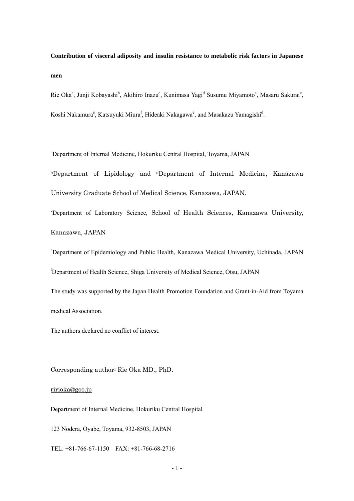**Contribution of visceral adiposity and insulin resistance to metabolic risk factors in Japanese men** 

Rie Oka<sup>a</sup>, Junji Kobayashi<sup>b</sup>, Akihiro Inazu<sup>c</sup>, Kunimasa Yagi<sup>d</sup> Susumu Miyamoto<sup>a</sup>, Masaru Sakurai<sup>e</sup>, Koshi Nakamura<sup>e</sup>, Katsuyuki Miura<sup>f</sup>, Hideaki Nakagawa<sup>e</sup>, and Masakazu Yamagishi<sup>d</sup>.

a Department of Internal Medicine, Hokuriku Central Hospital, Toyama, JAPAN

bDepartment of Lipidology and dDepartment of Internal Medicine, Kanazawa University Graduate School of Medical Science, Kanazawa, JAPAN.

c Department of Laboratory Science, School of Health Sciences, Kanazawa University, Kanazawa, JAPAN

e Department of Epidemiology and Public Health, Kanazawa Medical University, Uchinada, JAPAN

f Department of Health Science, Shiga University of Medical Science, Otsu, JAPAN

The study was supported by the Japan Health Promotion Foundation and Grant-in-Aid from Toyama medical Association.

The authors declared no conflict of interest.

Corresponding author: Rie Oka MD., PhD.

## [ririoka@goo.jp](mailto:ririoka@goo.jp)

Department of Internal Medicine, Hokuriku Central Hospital

123 Nodera, Oyabe, Toyama, 932-8503, JAPAN

TEL: +81-766-67-1150 FAX: +81-766-68-2716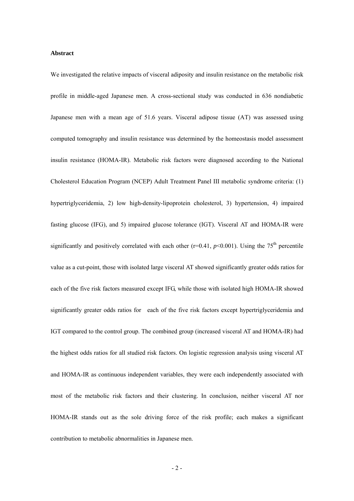## **Abstract**

We investigated the relative impacts of visceral adiposity and insulin resistance on the metabolic risk profile in middle-aged Japanese men. A cross-sectional study was conducted in 636 nondiabetic Japanese men with a mean age of 51.6 years. Visceral adipose tissue (AT) was assessed using computed tomography and insulin resistance was determined by the homeostasis model assessment insulin resistance (HOMA-IR). Metabolic risk factors were diagnosed according to the National Cholesterol Education Program (NCEP) Adult Treatment Panel III metabolic syndrome criteria: (1) hypertriglyceridemia, 2) low high-density-lipoprotein cholesterol, 3) hypertension, 4) impaired fasting glucose (IFG), and 5) impaired glucose tolerance (IGT). Visceral AT and HOMA-IR were significantly and positively correlated with each other ( $r=0.41$ ,  $p<0.001$ ). Using the 75<sup>th</sup> percentile value as a cut-point, those with isolated large visceral AT showed significantly greater odds ratios for each of the five risk factors measured except IFG, while those with isolated high HOMA-IR showed significantly greater odds ratios for each of the five risk factors except hypertriglyceridemia and IGT compared to the control group. The combined group (increased visceral AT and HOMA-IR) had the highest odds ratios for all studied risk factors. On logistic regression analysis using visceral AT and HOMA-IR as continuous independent variables, they were each independently associated with most of the metabolic risk factors and their clustering. In conclusion, neither visceral AT nor HOMA-IR stands out as the sole driving force of the risk profile; each makes a significant contribution to metabolic abnormalities in Japanese men.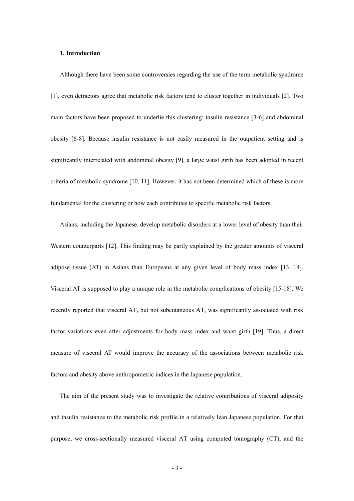## **1. Introduction**

Although there have been some controversies regarding the use of the term metabolic syndrome [1], even detractors agree that metabolic risk factors tend to cluster together in individuals [2]. Two main factors have been proposed to underlie this clustering: insulin resistance [3-6] and abdominal obesity [6-8]. Because insulin resistance is not easily measured in the outpatient setting and is significantly interrelated with abdominal obesity [9], a large waist girth has been adopted in recent criteria of metabolic syndrome [10, 11]. However, it has not been determined which of these is more fundamental for the clustering or how each contributes to specific metabolic risk factors.

Asians, including the Japanese, develop metabolic disorders at a lower level of obesity than their Western counterparts [12]. This finding may be partly explained by the greater amounts of visceral adipose tissue (AT) in Asians than Europeans at any given level of body mass index [13, 14]. Visceral AT is supposed to play a unique role in the metabolic complications of obesity [15-18]. We recently reported that visceral AT, but not subcutaneous AT, was significantly associated with risk factor variations even after adjustments for body mass index and waist girth [19]. Thus, a direct measure of visceral AT would improve the accuracy of the associations between metabolic risk factors and obesity above anthropometric indices in the Japanese population.

The aim of the present study was to investigate the relative contributions of visceral adiposity and insulin resistance to the metabolic risk profile in a relatively lean Japanese population. For that purpose, we cross-sectionally measured visceral AT using computed tomography (CT), and the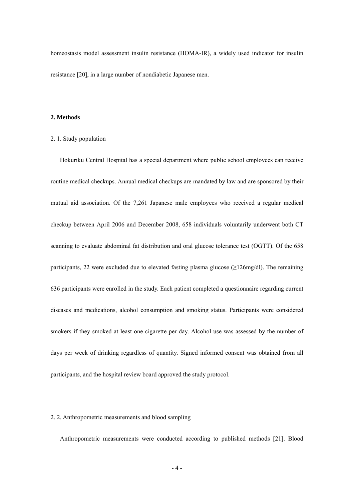homeostasis model assessment insulin resistance (HOMA-IR), a widely used indicator for insulin resistance [20], in a large number of nondiabetic Japanese men.

## **2. Methods**

#### 2. 1. Study population

Hokuriku Central Hospital has a special department where public school employees can receive routine medical checkups. Annual medical checkups are mandated by law and are sponsored by their mutual aid association. Of the 7,261 Japanese male employees who received a regular medical checkup between April 2006 and December 2008, 658 individuals voluntarily underwent both CT scanning to evaluate abdominal fat distribution and oral glucose tolerance test (OGTT). Of the 658 participants, 22 were excluded due to elevated fasting plasma glucose ( $\geq$ 126mg/dl). The remaining 636 participants were enrolled in the study. Each patient completed a questionnaire regarding current diseases and medications, alcohol consumption and smoking status. Participants were considered smokers if they smoked at least one cigarette per day. Alcohol use was assessed by the number of days per week of drinking regardless of quantity. Signed informed consent was obtained from all participants, and the hospital review board approved the study protocol.

### 2. 2. Anthropometric measurements and blood sampling

Anthropometric measurements were conducted according to published methods [21]. Blood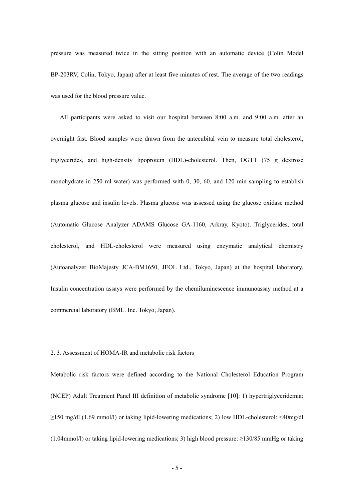pressure was measured twice in the sitting position with an automatic device (Colin Model BP-203RV, Colin, Tokyo, Japan) after at least five minutes of rest. The average of the two readings was used for the blood pressure value.

All participants were asked to visit our hospital between 8:00 a.m. and 9:00 a.m. after an overnight fast. Blood samples were drawn from the antecubital vein to measure total cholesterol, triglycerides, and high-density lipoprotein (HDL)-cholesterol. Then, OGTT (75 g dextrose monohydrate in 250 ml water) was performed with 0, 30, 60, and 120 min sampling to establish plasma glucose and insulin levels. Plasma glucose was assessed using the glucose oxidase method (Automatic Glucose Analyzer ADAMS Glucose GA-1160, Arkray, Kyoto). Triglycerides, total cholesterol, and HDL-cholesterol were measured using enzymatic analytical chemistry (Autoanalyzer BioMajesty JCA-BM1650, JEOL Ltd., Tokyo, Japan) at the hospital laboratory. Insulin concentration assays were performed by the chemiluminescence immunoassay method at a commercial laboratory (BML. Inc. Tokyo, Japan).

## 2. 3. Assessment of HOMA-IR and metabolic risk factors

Metabolic risk factors were defined according to the National Cholesterol Education Program (NCEP) Adult Treatment Panel III definition of metabolic syndrome [10]: 1) hypertriglyceridemia: ≥150 mg/dl (1.69 mmol/l) or taking lipid-lowering medications; 2) low HDL-cholesterol: <40mg/dl  $(1.04 \text{mmol/l})$  or taking lipid-lowering medications; 3) high blood pressure:  $\geq$ 130/85 mmHg or taking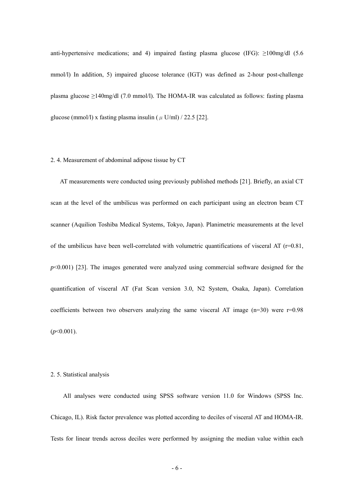anti-hypertensive medications; and 4) impaired fasting plasma glucose (IFG):  $\geq$ 100mg/dl (5.6) mmol/l) In addition, 5) impaired glucose tolerance (IGT) was defined as 2-hour post-challenge plasma glucose ≥140mg/dl (7.0 mmol/l). The HOMA-IR was calculated as follows: fasting plasma glucose (mmol/l) x fasting plasma insulin ( $\mu$  U/ml) / 22.5 [22].

## 2. 4. Measurement of abdominal adipose tissue by CT

AT measurements were conducted using previously published methods [21]. Briefly, an axial CT scan at the level of the umbilicus was performed on each participant using an electron beam CT scanner (Aquilion Toshiba Medical Systems, Tokyo, Japan). Planimetric measurements at the level of the umbilicus have been well-correlated with volumetric quantifications of visceral AT ( $r=0.81$ , *p*<0.001) [23]. The images generated were analyzed using commercial software designed for the quantification of visceral AT (Fat Scan version 3.0, N2 System, Osaka, Japan). Correlation coefficients between two observers analyzing the same visceral AT image  $(n=30)$  were  $r=0.98$ (*p*<0.001).

### 2. 5. Statistical analysis

All analyses were conducted using SPSS software version 11.0 for Windows (SPSS Inc. Chicago, IL). Risk factor prevalence was plotted according to deciles of visceral AT and HOMA-IR. Tests for linear trends across deciles were performed by assigning the median value within each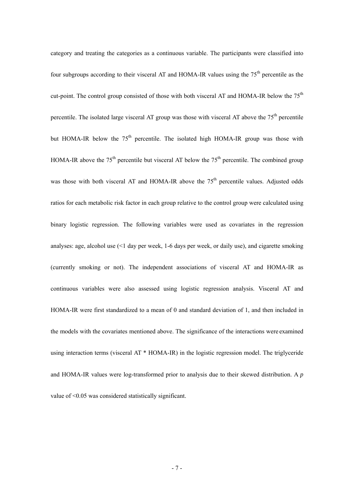category and treating the categories as a continuous variable. The participants were classified into four subgroups according to their visceral AT and HOMA-IR values using the 75<sup>th</sup> percentile as the cut-point. The control group consisted of those with both visceral AT and HOMA-IR below the 75<sup>th</sup> percentile. The isolated large visceral AT group was those with visceral AT above the 75<sup>th</sup> percentile but HOMA-IR below the  $75<sup>th</sup>$  percentile. The isolated high HOMA-IR group was those with HOMA-IR above the  $75<sup>th</sup>$  percentile but visceral AT below the  $75<sup>th</sup>$  percentile. The combined group was those with both visceral AT and HOMA-IR above the  $75<sup>th</sup>$  percentile values. Adjusted odds ratios for each metabolic risk factor in each group relative to the control group were calculated using binary logistic regression. The following variables were used as covariates in the regression analyses: age, alcohol use (<1 day per week, 1-6 days per week, or daily use), and cigarette smoking (currently smoking or not). The independent associations of visceral AT and HOMA-IR as continuous variables were also assessed using logistic regression analysis. Visceral AT and HOMA-IR were first standardized to a mean of 0 and standard deviation of 1, and then included in the models with the covariates mentioned above. The significance of the interactions were examined using interaction terms (visceral AT \* HOMA-IR) in the logistic regression model. The triglyceride and HOMA-IR values were log-transformed prior to analysis due to their skewed distribution. A *p* value of <0.05 was considered statistically significant.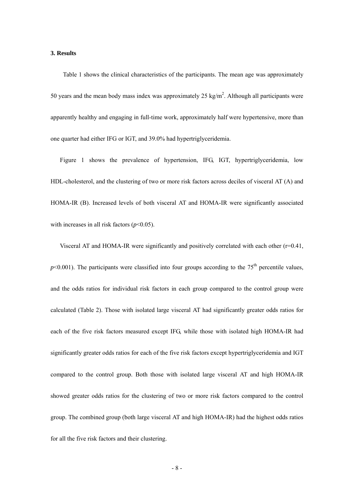### **3. Results**

Table 1 shows the clinical characteristics of the participants. The mean age was approximately 50 years and the mean body mass index was approximately 25 kg/m<sup>2</sup>. Although all participants were apparently healthy and engaging in full-time work, approximately half were hypertensive, more than one quarter had either IFG or IGT, and 39.0% had hypertriglyceridemia.

Figure 1 shows the prevalence of hypertension, IFG, IGT, hypertriglyceridemia, low HDL-cholesterol, and the clustering of two or more risk factors across deciles of visceral AT (A) and HOMA-IR (B). Increased levels of both visceral AT and HOMA-IR were significantly associated with increases in all risk factors  $(p<0.05)$ .

Visceral AT and HOMA-IR were significantly and positively correlated with each other  $(r=0.41,$  $p$ <0.001). The participants were classified into four groups according to the 75<sup>th</sup> percentile values, and the odds ratios for individual risk factors in each group compared to the control group were calculated (Table 2). Those with isolated large visceral AT had significantly greater odds ratios for each of the five risk factors measured except IFG, while those with isolated high HOMA-IR had significantly greater odds ratios for each of the five risk factors except hypertriglyceridemia and IGT compared to the control group. Both those with isolated large visceral AT and high HOMA-IR showed greater odds ratios for the clustering of two or more risk factors compared to the control group. The combined group (both large visceral AT and high HOMA-IR) had the highest odds ratios for all the five risk factors and their clustering.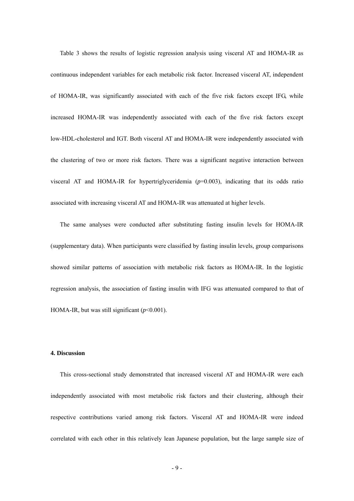Table 3 shows the results of logistic regression analysis using visceral AT and HOMA-IR as continuous independent variables for each metabolic risk factor. Increased visceral AT, independent of HOMA-IR, was significantly associated with each of the five risk factors except IFG, while increased HOMA-IR was independently associated with each of the five risk factors except low-HDL-cholesterol and IGT. Both visceral AT and HOMA-IR were independently associated with the clustering of two or more risk factors. There was a significant negative interaction between visceral AT and HOMA-IR for hypertriglyceridemia  $(p=0.003)$ , indicating that its odds ratio associated with increasing visceral AT and HOMA-IR was attenuated at higher levels.

The same analyses were conducted after substituting fasting insulin levels for HOMA-IR (supplementary data). When participants were classified by fasting insulin levels, group comparisons showed similar patterns of association with metabolic risk factors as HOMA-IR. In the logistic regression analysis, the association of fasting insulin with IFG was attenuated compared to that of HOMA-IR, but was still significant  $(p<0.001)$ .

## **4. Discussion**

This cross-sectional study demonstrated that increased visceral AT and HOMA-IR were each independently associated with most metabolic risk factors and their clustering, although their respective contributions varied among risk factors. Visceral AT and HOMA-IR were indeed correlated with each other in this relatively lean Japanese population, but the large sample size of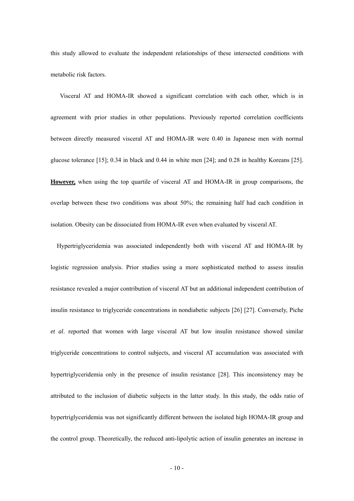this study allowed to evaluate the independent relationships of these intersected conditions with metabolic risk factors.

Visceral AT and HOMA-IR showed a significant correlation with each other, which is in agreement with prior studies in other populations. Previously reported correlation coefficients between directly measured visceral AT and HOMA-IR were 0.40 in Japanese men with normal glucose tolerance [15]; 0.34 in black and 0.44 in white men [24]; and 0.28 in healthy Koreans [25]. **However,** when using the top quartile of visceral AT and HOMA-IR in group comparisons, the overlap between these two conditions was about 50%; the remaining half had each condition in isolation. Obesity can be dissociated from HOMA-IR even when evaluated by visceral AT.

Hypertriglyceridemia was associated independently both with visceral AT and HOMA-IR by logistic regression analysis. Prior studies using a more sophisticated method to assess insulin resistance revealed a major contribution of visceral AT but an additional independent contribution of insulin resistance to triglyceride concentrations in nondiabetic subjects [26] [27]. Conversely, Piche *et al*. reported that women with large visceral AT but low insulin resistance showed similar triglyceride concentrations to control subjects, and visceral AT accumulation was associated with hypertriglyceridemia only in the presence of insulin resistance [28]. This inconsistency may be attributed to the inclusion of diabetic subjects in the latter study. In this study, the odds ratio of hypertriglyceridemia was not significantly different between the isolated high HOMA-IR group and the control group. Theoretically, the reduced anti-lipolytic action of insulin generates an increase in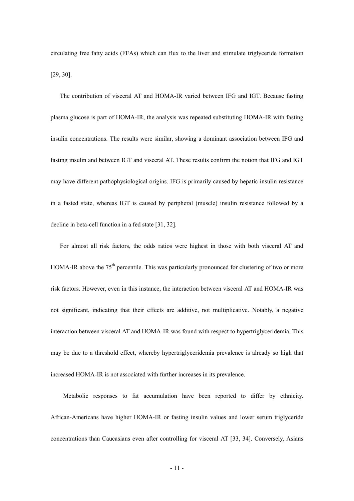circulating free fatty acids (FFAs) which can flux to the liver and stimulate triglyceride formation [29, 30].

The contribution of visceral AT and HOMA-IR varied between IFG and IGT. Because fasting plasma glucose is part of HOMA-IR, the analysis was repeated substituting HOMA-IR with fasting insulin concentrations. The results were similar, showing a dominant association between IFG and fasting insulin and between IGT and visceral AT. These results confirm the notion that IFG and IGT may have different pathophysiological origins. IFG is primarily caused by hepatic insulin resistance in a fasted state, whereas IGT is caused by peripheral (muscle) insulin resistance followed by a decline in beta-cell function in a fed state [31, 32].

For almost all risk factors, the odds ratios were highest in those with both visceral AT and HOMA-IR above the 75<sup>th</sup> percentile. This was particularly pronounced for clustering of two or more risk factors. However, even in this instance, the interaction between visceral AT and HOMA-IR was not significant, indicating that their effects are additive, not multiplicative. Notably, a negative interaction between visceral AT and HOMA-IR was found with respect to hypertriglyceridemia. This may be due to a threshold effect, whereby hypertriglyceridemia prevalence is already so high that increased HOMA-IR is not associated with further increases in its prevalence.

 Metabolic responses to fat accumulation have been reported to differ by ethnicity. African-Americans have higher HOMA-IR or fasting insulin values and lower serum triglyceride concentrations than Caucasians even after controlling for visceral AT [33, 34]. Conversely, Asians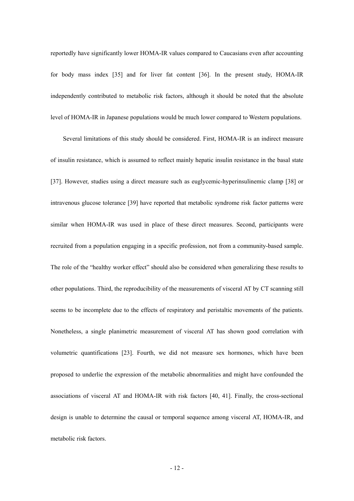reportedly have significantly lower HOMA-IR values compared to Caucasians even after accounting for body mass index [35] and for liver fat content [36]. In the present study, HOMA-IR independently contributed to metabolic risk factors, although it should be noted that the absolute level of HOMA-IR in Japanese populations would be much lower compared to Western populations.

Several limitations of this study should be considered. First, HOMA-IR is an indirect measure of insulin resistance, which is assumed to reflect mainly hepatic insulin resistance in the basal state [37]. However, studies using a direct measure such as euglycemic-hyperinsulinemic clamp [38] or intravenous glucose tolerance [39] have reported that metabolic syndrome risk factor patterns were similar when HOMA-IR was used in place of these direct measures. Second, participants were recruited from a population engaging in a specific profession, not from a community-based sample. The role of the "healthy worker effect" should also be considered when generalizing these results to other populations. Third, the reproducibility of the measurements of visceral AT by CT scanning still seems to be incomplete due to the effects of respiratory and peristaltic movements of the patients. Nonetheless, a single planimetric measurement of visceral AT has shown good correlation with volumetric quantifications [23]. Fourth, we did not measure sex hormones, which have been proposed to underlie the expression of the metabolic abnormalities and might have confounded the associations of visceral AT and HOMA-IR with risk factors [40, 41]. Finally, the cross-sectional design is unable to determine the causal or temporal sequence among visceral AT, HOMA-IR, and metabolic risk factors.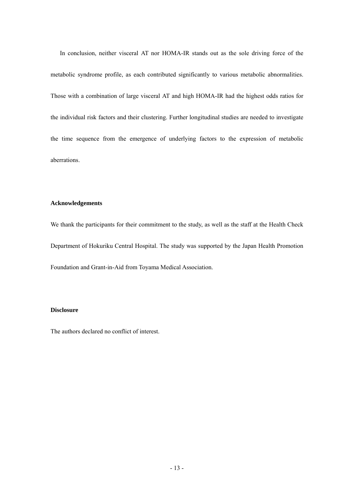In conclusion, neither visceral AT nor HOMA-IR stands out as the sole driving force of the metabolic syndrome profile, as each contributed significantly to various metabolic abnormalities. Those with a combination of large visceral AT and high HOMA-IR had the highest odds ratios for the individual risk factors and their clustering. Further longitudinal studies are needed to investigate the time sequence from the emergence of underlying factors to the expression of metabolic aberrations.

## **Acknowledgements**

We thank the participants for their commitment to the study, as well as the staff at the Health Check Department of Hokuriku Central Hospital. The study was supported by the Japan Health Promotion Foundation and Grant-in-Aid from Toyama Medical Association.

# **Disclosure**

The authors declared no conflict of interest.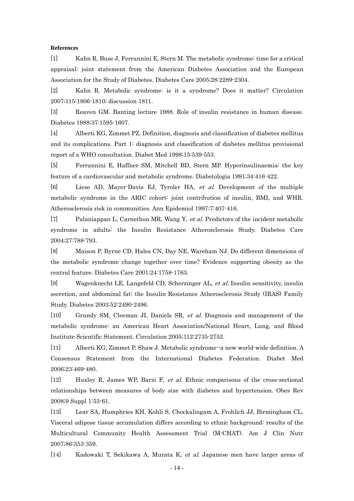#### **References**

[1] Kahn R, Buse J, Ferrannini E, Stern M. The metabolic syndrome: time for a critical appraisal: joint statement from the American Diabetes Association and the European Association for the Study of Diabetes. Diabetes Care 2005;28:2289-2304.

[2] Kahn R. Metabolic syndrome: is it a syndrome? Does it matter? Circulation 2007;115:1806-1810; discussion 1811.

[3] Reaven GM. Banting lecture 1988. Role of insulin resistance in human disease. Diabetes 1988;37:1595-1607.

[4] Alberti KG, Zimmet PZ. Definition, diagnosis and classification of diabetes mellitus and its complications. Part 1: diagnosis and classification of diabetes mellitus provisional report of a WHO consultation. Diabet Med 1998;15:539-553.

[5] Ferrannini E, Haffner SM, Mitchell BD, Stern MP. Hyperinsulinaemia: the key feature of a cardiovascular and metabolic syndrome. Diabetologia 1991;34:416-422.

[6] Liese AD, Mayer-Davis EJ, Tyroler HA, et al. Development of the multiple metabolic syndrome in the ARIC cohort: joint contribution of insulin, BMI, and WHR. Atherosclerosis risk in communities. Ann Epidemiol 1997;7:407-416.

[7] Palaniappan L, Carnethon MR, Wang Y, et al. Predictors of the incident metabolic syndrome in adults: the Insulin Resistance Atherosclerosis Study. Diabetes Care 2004;27:788-793.

[8] Maison P, Byrne CD, Hales CN, Day NE, Wareham NJ. Do different dimensions of the metabolic syndrome change together over time? Evidence supporting obesity as the central feature. Diabetes Care 2001;24:1758-1763.

[9] Wagenknecht LE, Langefeld CD, Scherzinger AL, et al. Insulin sensitivity, insulin secretion, and abdominal fat: the Insulin Resistance Atherosclerosis Study (IRAS) Family Study. Diabetes 2003;52:2490-2496.

[10] Grundy SM, Cleeman JI, Daniels SR, et al. Diagnosis and management of the metabolic syndrome: an American Heart Association/National Heart, Lung, and Blood Institute Scientific Statement. Circulation 2005;112:2735-2752.

[11] Alberti KG, Zimmet P, Shaw J. Metabolic syndrome--a new world-wide definition. A Consensus Statement from the International Diabetes Federation. Diabet Med 2006;23:469-480.

[12] Huxley R, James WP, Barzi F, et al. Ethnic comparisons of the cross-sectional relationships between measures of body size with diabetes and hypertension. Obes Rev 2008;9 Suppl 1:53-61.

[13] Lear SA, Humphries KH, Kohli S, Chockalingam A, Frohlich JJ, Birmingham CL. Visceral adipose tissue accumulation differs according to ethnic background: results of the Multicultural Community Health Assessment Trial (M-CHAT). Am J Clin Nutr 2007;86:353-359.

[14] Kadowaki T, Sekikawa A, Murata K, et al. Japanese men have larger areas of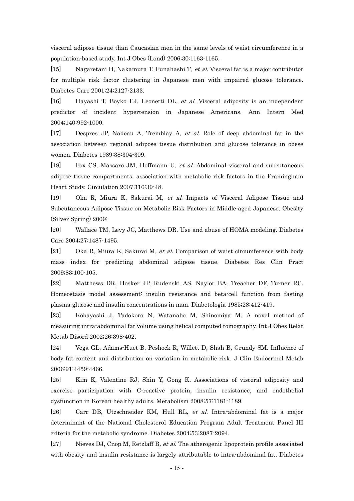visceral adipose tissue than Caucasian men in the same levels of waist circumference in a population-based study. Int J Obes (Lond) 2006;30:1163-1165.

[15] Nagaretani H, Nakamura T, Funahashi T, et al. Visceral fat is a major contributor for multiple risk factor clustering in Japanese men with impaired glucose tolerance. Diabetes Care 2001;24:2127-2133.

[16] Hayashi T, Boyko EJ, Leonetti DL, et al. Visceral adiposity is an independent predictor of incident hypertension in Japanese Americans. Ann Intern Med 2004;140:992-1000.

[17] Despres JP, Nadeau A, Tremblay A, et al. Role of deep abdominal fat in the association between regional adipose tissue distribution and glucose tolerance in obese women. Diabetes 1989;38:304-309.

[18] Fox CS, Massaro JM, Hoffmann U, et al. Abdominal visceral and subcutaneous adipose tissue compartments: association with metabolic risk factors in the Framingham Heart Study. Circulation 2007;116:39-48.

[19] Oka R, Miura K, Sakurai M, et al. Impacts of Visceral Adipose Tissue and Subcutaneous Adipose Tissue on Metabolic Risk Factors in Middle-aged Japanese. Obesity (Silver Spring) 2009;

[20] Wallace TM, Levy JC, Matthews DR. Use and abuse of HOMA modeling. Diabetes Care 2004;27:1487-1495.

[21] Oka R, Miura K, Sakurai M, et al. Comparison of waist circumference with body mass index for predicting abdominal adipose tissue. Diabetes Res Clin Pract 2009;83:100-105.

[22] Matthews DR, Hosker JP, Rudenski AS, Naylor BA, Treacher DF, Turner RC. Homeostasis model assessment: insulin resistance and beta-cell function from fasting plasma glucose and insulin concentrations in man. Diabetologia 1985;28:412-419.

[23] Kobayashi J, Tadokoro N, Watanabe M, Shinomiya M. A novel method of measuring intra-abdominal fat volume using helical computed tomography. Int J Obes Relat Metab Disord 2002;26:398-402.

[24] Vega GL, Adams-Huet B, Peshock R, Willett D, Shah B, Grundy SM. Influence of body fat content and distribution on variation in metabolic risk. J Clin Endocrinol Metab 2006;91:4459-4466.

[25] Kim K, Valentine RJ, Shin Y, Gong K. Associations of visceral adiposity and exercise participation with C-reactive protein, insulin resistance, and endothelial dysfunction in Korean healthy adults. Metabolism 2008;57:1181-1189.

[26] Carr DB, Utzschneider KM, Hull RL, et al. Intra-abdominal fat is a major determinant of the National Cholesterol Education Program Adult Treatment Panel III criteria for the metabolic syndrome. Diabetes 2004;53:2087-2094.

[27] Nieves DJ, Cnop M, Retzlaff B, et al. The atherogenic lipoprotein profile associated with obesity and insulin resistance is largely attributable to intra-abdominal fat. Diabetes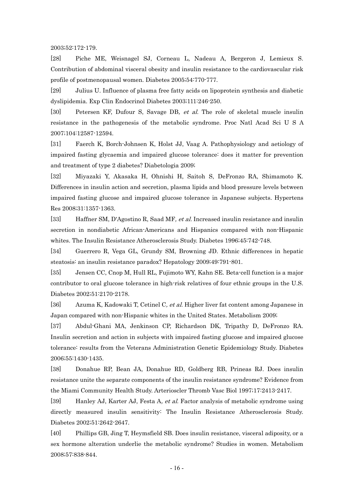2003;52:172-179.

[28] Piche ME, Weisnagel SJ, Corneau L, Nadeau A, Bergeron J, Lemieux S. Contribution of abdominal visceral obesity and insulin resistance to the cardiovascular risk profile of postmenopausal women. Diabetes 2005;54:770-777.

[29] Julius U. Influence of plasma free fatty acids on lipoprotein synthesis and diabetic dyslipidemia. Exp Clin Endocrinol Diabetes 2003;111:246-250.

[30] Petersen KF, Dufour S, Savage DB, et al. The role of skeletal muscle insulin resistance in the pathogenesis of the metabolic syndrome. Proc Natl Acad Sci U S A 2007;104:12587-12594.

[31] Faerch K, Borch-Johnsen K, Holst JJ, Vaag A. Pathophysiology and aetiology of impaired fasting glycaemia and impaired glucose tolerance: does it matter for prevention and treatment of type 2 diabetes? Diabetologia 2009;

[32] Miyazaki Y, Akasaka H, Ohnishi H, Saitoh S, DeFronzo RA, Shimamoto K. Differences in insulin action and secretion, plasma lipids and blood pressure levels between impaired fasting glucose and impaired glucose tolerance in Japanese subjects. Hypertens Res 2008;31:1357-1363.

[33] Haffner SM, D'Agostino R, Saad MF, et al. Increased insulin resistance and insulin secretion in nondiabetic African-Americans and Hispanics compared with non-Hispanic whites. The Insulin Resistance Atherosclerosis Study. Diabetes 1996;45:742-748.

[34] Guerrero R, Vega GL, Grundy SM, Browning JD. Ethnic differences in hepatic steatosis: an insulin resistance paradox? Hepatology 2009;49:791-801.

[35] Jensen CC, Cnop M, Hull RL, Fujimoto WY, Kahn SE. Beta-cell function is a major contributor to oral glucose tolerance in high-risk relatives of four ethnic groups in the U.S. Diabetes 2002;51:2170-2178.

[36] Azuma K, Kadowaki T, Cetinel C, et al. Higher liver fat content among Japanese in Japan compared with non-Hispanic whites in the United States. Metabolism 2009;

[37] Abdul-Ghani MA, Jenkinson CP, Richardson DK, Tripathy D, DeFronzo RA. Insulin secretion and action in subjects with impaired fasting glucose and impaired glucose tolerance: results from the Veterans Administration Genetic Epidemiology Study. Diabetes 2006;55:1430-1435.

[38] Donahue RP, Bean JA, Donahue RD, Goldberg RB, Prineas RJ. Does insulin resistance unite the separate components of the insulin resistance syndrome? Evidence from the Miami Community Health Study. Arterioscler Thromb Vasc Biol 1997;17:2413-2417.

[39] Hanley AJ, Karter AJ, Festa A, et al. Factor analysis of metabolic syndrome using directly measured insulin sensitivity: The Insulin Resistance Atherosclerosis Study. Diabetes 2002;51:2642-2647.

[40] Phillips GB, Jing T, Heymsfield SB. Does insulin resistance, visceral adiposity, or a sex hormone alteration underlie the metabolic syndrome? Studies in women. Metabolism 2008;57:838-844.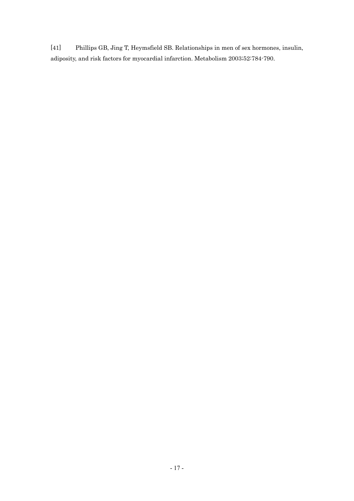[41] Phillips GB, Jing T, Heymsfield SB. Relationships in men of sex hormones, insulin, adiposity, and risk factors for myocardial infarction. Metabolism 2003;52:784-790.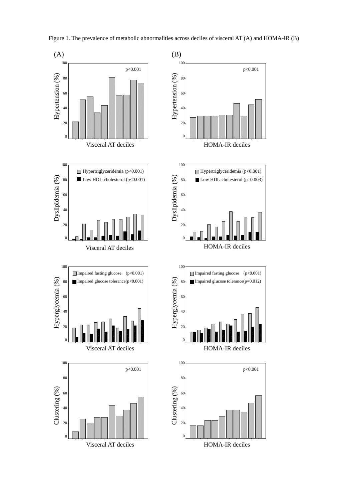

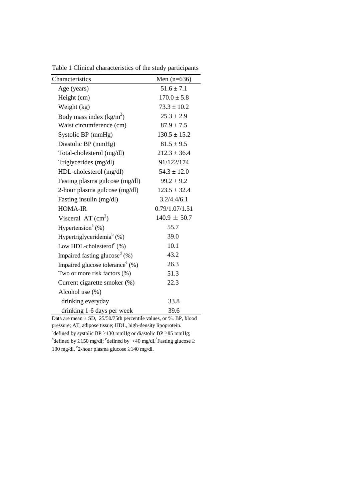| Characteristics                              | Men $(n=636)$    |
|----------------------------------------------|------------------|
| Age (years)                                  | $51.6 \pm 7.1$   |
| Height (cm)                                  | $170.0 \pm 5.8$  |
| Weight (kg)                                  | $73.3 \pm 10.2$  |
| Body mass index $(kg/m2)$                    | $25.3 \pm 2.9$   |
| Waist circumference (cm)                     | $87.9 \pm 7.5$   |
| Systolic BP (mmHg)                           | $130.5 \pm 15.2$ |
| Diastolic BP (mmHg)                          | $81.5 \pm 9.5$   |
| Total-cholesterol (mg/dl)                    | $212.3 \pm 36.4$ |
| Triglycerides (mg/dl)                        | 91/122/174       |
| HDL-cholesterol (mg/dl)                      | $54.3 \pm 12.0$  |
| Fasting plasma gulcose (mg/dl)               | $99.2 \pm 9.2$   |
| 2-hour plasma gulcose (mg/dl)                | $123.5 \pm 32.4$ |
| Fasting insulin (mg/dl)                      | 3.2/4.4/6.1      |
| <b>HOMA-IR</b>                               | 0.79/1.07/1.51   |
| Visceral AT $(cm2)$                          | $140.9 \pm 50.7$ |
| Hypertension <sup>a</sup> $(\%)$             | 55.7             |
| Hypertriglyceridemia <sup>b</sup> (%)        | 39.0             |
| Low HDL-cholesterol $\text{°}$ (%)           | 10.1             |
| Impaired fasting glucose <sup>d</sup> $(\%)$ | 43.2             |
| Impaired glucose tolerance $(\%)$            | 26.3             |
| Two or more risk factors (%)                 | 51.3             |
| Current cigarette smoker (%)                 | 22.3             |
| Alcohol use (%)                              |                  |
| drinking everyday                            | 33.8             |
| drinking 1-6 days per week                   | 39.6             |

Table 1 Clinical characteristics of the study participants

Data are mean  $\pm$  SD, 25/50/75th percentile values, or %. BP, blood pressure; AT, adipose tissue; HDL, high-density lipoprotein. <sup>a</sup>defined by systolic BP  $\geq$ 130 mmHg or diastolic BP  $\geq$ 85 mmHg; <sup>b</sup>defined by  $\geq$ 150 mg/dl; <sup>c</sup>defined by <40 mg/dl.<sup>d</sup>Fasting glucose  $\geq$ 100 mg/dl. e2-hour plasma glucose  $\geq$ 140 mg/dl.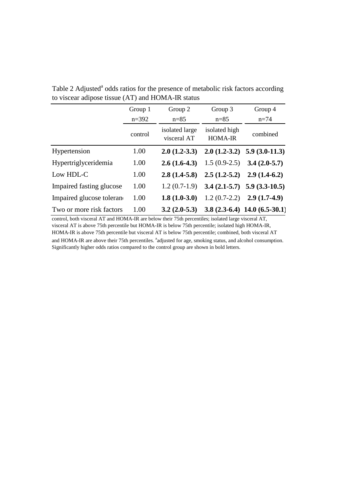|                           | Group 1   | Group 2                       | Group 3                         | Group 4                           |
|---------------------------|-----------|-------------------------------|---------------------------------|-----------------------------------|
|                           | $n = 392$ | $n = 85$                      | $n = 85$                        | $n = 74$                          |
|                           | control   | isolated large<br>visceral AT | isolated high<br><b>HOMA-IR</b> | combined                          |
| Hypertension              | 1.00      | $2.0(1.2-3.3)$                |                                 | $2.0(1.2-3.2)$ 5.9 (3.0-11.3)     |
| Hypertriglyceridemia      | 1.00      | $2.6(1.6-4.3)$                | $1.5(0.9-2.5)$                  | $3.4(2.0-5.7)$                    |
| Low HDL-C                 | 1.00      | $2.8(1.4-5.8)$                | $2.5(1.2-5.2)$                  | $2.9(1.4-6.2)$                    |
| Impaired fasting glucose  | 1.00      | $1.2(0.7-1.9)$                |                                 | $3.4(2.1-5.7)$ 5.9 (3.3-10.5)     |
| Impaired glucose tolerane | 1.00      | $1.8(1.0-3.0)$                | $1.2(0.7-2.2)$                  | $2.9(1.7-4.9)$                    |
| Two or more risk factors  | 1.00      | $3.2(2.0-5.3)$                |                                 | 3.8 $(2.3-6.4)$ 14.0 $(6.5-30.1)$ |

Table 2 Adjusted<sup>a</sup> odds ratios for the presence of metabolic risk factors according to viscear adipose tissue (AT) and HOMA-IR status

control, both visceral AT and HOMA-IR are below their 75th percentiles; isolated large visceral AT, visceral AT is above 75th percentile but HOMA-IR is below 75th percentile; isolated high HOMA-IR, HOMA-IR is above 75th percentile but visceral AT is below 75th percentile; combined, both visceral AT and HOMA-IR are above their 75th percentiles. <sup>a</sup>adjusted for age, smoking status, and alcohol consumption. Significantly higher odds ratios compared to the control group are shown in bold letters.